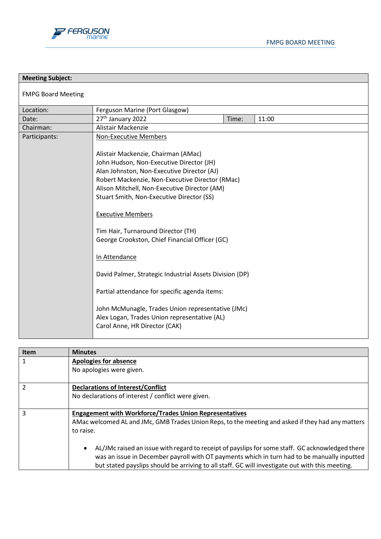



| <b>Meeting Subject:</b>   |                                                                                                                                                                                                                                                                                                                                                                                                                                                                                                                                                                                                                                                                                                      |       |       |  |
|---------------------------|------------------------------------------------------------------------------------------------------------------------------------------------------------------------------------------------------------------------------------------------------------------------------------------------------------------------------------------------------------------------------------------------------------------------------------------------------------------------------------------------------------------------------------------------------------------------------------------------------------------------------------------------------------------------------------------------------|-------|-------|--|
| <b>FMPG Board Meeting</b> |                                                                                                                                                                                                                                                                                                                                                                                                                                                                                                                                                                                                                                                                                                      |       |       |  |
| Location:                 | Ferguson Marine (Port Glasgow)                                                                                                                                                                                                                                                                                                                                                                                                                                                                                                                                                                                                                                                                       |       |       |  |
| Date:                     | 27 <sup>th</sup> January 2022                                                                                                                                                                                                                                                                                                                                                                                                                                                                                                                                                                                                                                                                        | Time: | 11:00 |  |
| Chairman:                 | Alistair Mackenzie                                                                                                                                                                                                                                                                                                                                                                                                                                                                                                                                                                                                                                                                                   |       |       |  |
| Participants:             | <b>Non-Executive Members</b><br>Alistair Mackenzie, Chairman (AMac)<br>John Hudson, Non-Executive Director (JH)<br>Alan Johnston, Non-Executive Director (AJ)<br>Robert Mackenzie, Non-Executive Director (RMac)<br>Alison Mitchell, Non-Executive Director (AM)<br>Stuart Smith, Non-Executive Director (SS)<br><b>Executive Members</b><br>Tim Hair, Turnaround Director (TH)<br>George Crookston, Chief Financial Officer (GC)<br>In Attendance<br>David Palmer, Strategic Industrial Assets Division (DP)<br>Partial attendance for specific agenda items:<br>John McMunagle, Trades Union representative (JMc)<br>Alex Logan, Trades Union representative (AL)<br>Carol Anne, HR Director (CAK) |       |       |  |

| <b>Item</b> | <b>Minutes</b>                                                                                       |
|-------------|------------------------------------------------------------------------------------------------------|
|             | Apologies for absence                                                                                |
|             | No apologies were given.                                                                             |
|             |                                                                                                      |
|             | <b>Declarations of Interest/Conflict</b>                                                             |
|             | No declarations of interest / conflict were given.                                                   |
|             |                                                                                                      |
| 3           | <b>Engagement with Workforce/Trades Union Representatives</b>                                        |
|             | AMac welcomed AL and JMc, GMB Trades Union Reps, to the meeting and asked if they had any matters    |
|             | to raise.                                                                                            |
|             |                                                                                                      |
|             | AL/JMc raised an issue with regard to receipt of payslips for some staff. GC acknowledged there<br>٠ |
|             | was an issue in December payroll with OT payments which in turn had to be manually inputted          |
|             | but stated payslips should be arriving to all staff. GC will investigate out with this meeting.      |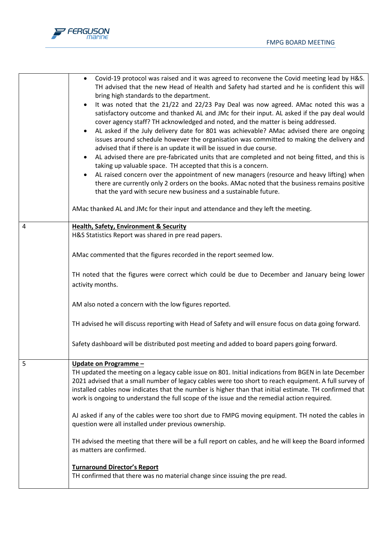

|   | Covid-19 protocol was raised and it was agreed to reconvene the Covid meeting lead by H&S.<br>TH advised that the new Head of Health and Safety had started and he is confident this will<br>bring high standards to the department.<br>It was noted that the 21/22 and 22/23 Pay Deal was now agreed. AMac noted this was a<br>satisfactory outcome and thanked AL and JMc for their input. AL asked if the pay deal would<br>cover agency staff? TH acknowledged and noted, and the matter is being addressed.<br>AL asked if the July delivery date for 801 was achievable? AMac advised there are ongoing<br>issues around schedule however the organisation was committed to making the delivery and<br>advised that if there is an update it will be issued in due course.<br>AL advised there are pre-fabricated units that are completed and not being fitted, and this is<br>$\bullet$<br>taking up valuable space. TH accepted that this is a concern.<br>AL raised concern over the appointment of new managers (resource and heavy lifting) when<br>there are currently only 2 orders on the books. AMac noted that the business remains positive<br>that the yard with secure new business and a sustainable future.<br>AMac thanked AL and JMc for their input and attendance and they left the meeting. |
|---|------------------------------------------------------------------------------------------------------------------------------------------------------------------------------------------------------------------------------------------------------------------------------------------------------------------------------------------------------------------------------------------------------------------------------------------------------------------------------------------------------------------------------------------------------------------------------------------------------------------------------------------------------------------------------------------------------------------------------------------------------------------------------------------------------------------------------------------------------------------------------------------------------------------------------------------------------------------------------------------------------------------------------------------------------------------------------------------------------------------------------------------------------------------------------------------------------------------------------------------------------------------------------------------------------------------------|
|   |                                                                                                                                                                                                                                                                                                                                                                                                                                                                                                                                                                                                                                                                                                                                                                                                                                                                                                                                                                                                                                                                                                                                                                                                                                                                                                                        |
| 4 | <b>Health, Safety, Environment &amp; Security</b><br>H&S Statistics Report was shared in pre read papers.                                                                                                                                                                                                                                                                                                                                                                                                                                                                                                                                                                                                                                                                                                                                                                                                                                                                                                                                                                                                                                                                                                                                                                                                              |
|   | AMac commented that the figures recorded in the report seemed low.                                                                                                                                                                                                                                                                                                                                                                                                                                                                                                                                                                                                                                                                                                                                                                                                                                                                                                                                                                                                                                                                                                                                                                                                                                                     |
|   | TH noted that the figures were correct which could be due to December and January being lower<br>activity months.                                                                                                                                                                                                                                                                                                                                                                                                                                                                                                                                                                                                                                                                                                                                                                                                                                                                                                                                                                                                                                                                                                                                                                                                      |
|   | AM also noted a concern with the low figures reported.                                                                                                                                                                                                                                                                                                                                                                                                                                                                                                                                                                                                                                                                                                                                                                                                                                                                                                                                                                                                                                                                                                                                                                                                                                                                 |
|   | TH advised he will discuss reporting with Head of Safety and will ensure focus on data going forward.                                                                                                                                                                                                                                                                                                                                                                                                                                                                                                                                                                                                                                                                                                                                                                                                                                                                                                                                                                                                                                                                                                                                                                                                                  |
|   | Safety dashboard will be distributed post meeting and added to board papers going forward.                                                                                                                                                                                                                                                                                                                                                                                                                                                                                                                                                                                                                                                                                                                                                                                                                                                                                                                                                                                                                                                                                                                                                                                                                             |
| 5 | Update on Programme -<br>TH updated the meeting on a legacy cable issue on 801. Initial indications from BGEN in late December<br>2021 advised that a small number of legacy cables were too short to reach equipment. A full survey of<br>installed cables now indicates that the number is higher than that initial estimate. TH confirmed that<br>work is ongoing to understand the full scope of the issue and the remedial action required.                                                                                                                                                                                                                                                                                                                                                                                                                                                                                                                                                                                                                                                                                                                                                                                                                                                                       |
|   | AJ asked if any of the cables were too short due to FMPG moving equipment. TH noted the cables in<br>question were all installed under previous ownership.                                                                                                                                                                                                                                                                                                                                                                                                                                                                                                                                                                                                                                                                                                                                                                                                                                                                                                                                                                                                                                                                                                                                                             |
|   | TH advised the meeting that there will be a full report on cables, and he will keep the Board informed<br>as matters are confirmed.                                                                                                                                                                                                                                                                                                                                                                                                                                                                                                                                                                                                                                                                                                                                                                                                                                                                                                                                                                                                                                                                                                                                                                                    |
|   | <b>Turnaround Director's Report</b><br>TH confirmed that there was no material change since issuing the pre read.                                                                                                                                                                                                                                                                                                                                                                                                                                                                                                                                                                                                                                                                                                                                                                                                                                                                                                                                                                                                                                                                                                                                                                                                      |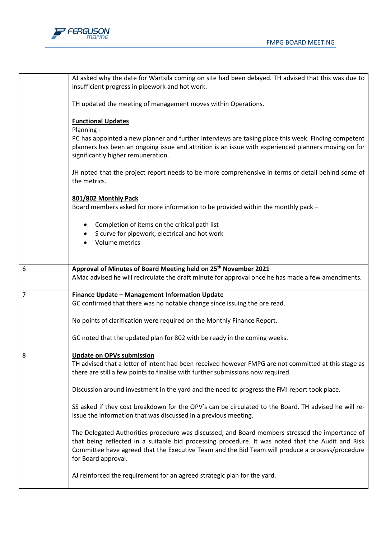

|                | AJ asked why the date for Wartsila coming on site had been delayed. TH advised that this was due to<br>insufficient progress in pipework and hot work.                                                                                                                                                                         |
|----------------|--------------------------------------------------------------------------------------------------------------------------------------------------------------------------------------------------------------------------------------------------------------------------------------------------------------------------------|
|                | TH updated the meeting of management moves within Operations.                                                                                                                                                                                                                                                                  |
|                | <b>Functional Updates</b><br>Planning -                                                                                                                                                                                                                                                                                        |
|                | PC has appointed a new planner and further interviews are taking place this week. Finding competent<br>planners has been an ongoing issue and attrition is an issue with experienced planners moving on for<br>significantly higher remuneration.                                                                              |
|                | JH noted that the project report needs to be more comprehensive in terms of detail behind some of<br>the metrics.                                                                                                                                                                                                              |
|                |                                                                                                                                                                                                                                                                                                                                |
|                | 801/802 Monthly Pack<br>Board members asked for more information to be provided within the monthly pack -                                                                                                                                                                                                                      |
|                | Completion of items on the critical path list                                                                                                                                                                                                                                                                                  |
|                | S curve for pipework, electrical and hot work                                                                                                                                                                                                                                                                                  |
|                | Volume metrics                                                                                                                                                                                                                                                                                                                 |
| 6              | Approval of Minutes of Board Meeting held on 25 <sup>th</sup> November 2021                                                                                                                                                                                                                                                    |
|                | AMac advised he will recirculate the draft minute for approval once he has made a few amendments.                                                                                                                                                                                                                              |
| $\overline{7}$ | <b>Finance Update - Management Information Update</b>                                                                                                                                                                                                                                                                          |
|                | GC confirmed that there was no notable change since issuing the pre read.                                                                                                                                                                                                                                                      |
|                | No points of clarification were required on the Monthly Finance Report.                                                                                                                                                                                                                                                        |
|                | GC noted that the updated plan for 802 with be ready in the coming weeks.                                                                                                                                                                                                                                                      |
| 8              | <b>Update on OPVs submission</b>                                                                                                                                                                                                                                                                                               |
|                | TH advised that a letter of intent had been received however FMPG are not committed at this stage as<br>there are still a few points to finalise with further submissions now required.                                                                                                                                        |
|                | Discussion around investment in the yard and the need to progress the FMI report took place.                                                                                                                                                                                                                                   |
|                | SS asked if they cost breakdown for the OPV's can be circulated to the Board. TH advised he will re-<br>issue the information that was discussed in a previous meeting.                                                                                                                                                        |
|                | The Delegated Authorities procedure was discussed, and Board members stressed the importance of<br>that being reflected in a suitable bid processing procedure. It was noted that the Audit and Risk<br>Committee have agreed that the Executive Team and the Bid Team will produce a process/procedure<br>for Board approval. |
|                | AJ reinforced the requirement for an agreed strategic plan for the yard.                                                                                                                                                                                                                                                       |